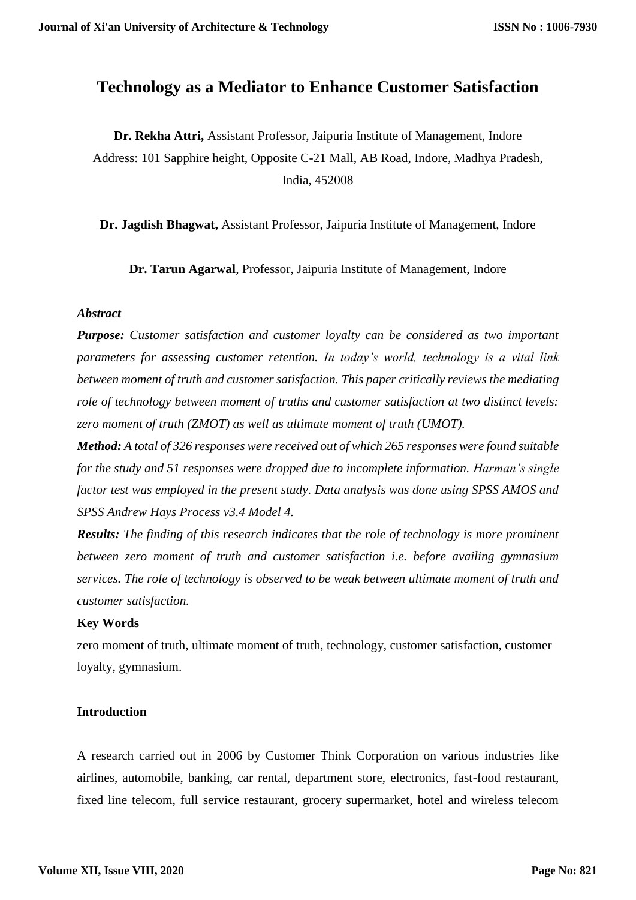# **Technology as a Mediator to Enhance Customer Satisfaction**

**Dr. Rekha Attri,** Assistant Professor, Jaipuria Institute of Management, Indore Address: 101 Sapphire height, Opposite C-21 Mall, AB Road, Indore, Madhya Pradesh, India, 452008

**Dr. Jagdish Bhagwat,** Assistant Professor, Jaipuria Institute of Management, Indore

**Dr. Tarun Agarwal**, Professor, Jaipuria Institute of Management, Indore

#### *Abstract*

*Purpose: Customer satisfaction and customer loyalty can be considered as two important parameters for assessing customer retention. In today's world, technology is a vital link between moment of truth and customer satisfaction. This paper critically reviews the mediating role of technology between moment of truths and customer satisfaction at two distinct levels: zero moment of truth (ZMOT) as well as ultimate moment of truth (UMOT).*

*Method: A total of 326 responses were received out of which 265 responses were found suitable for the study and 51 responses were dropped due to incomplete information. Harman's single factor test was employed in the present study. Data analysis was done using SPSS AMOS and SPSS Andrew Hays Process v3.4 Model 4.*

*Results: The finding of this research indicates that the role of technology is more prominent between zero moment of truth and customer satisfaction i.e. before availing gymnasium services. The role of technology is observed to be weak between ultimate moment of truth and customer satisfaction.* 

#### **Key Words**

zero moment of truth, ultimate moment of truth, technology, customer satisfaction, customer loyalty, gymnasium.

#### **Introduction**

A research carried out in 2006 by Customer Think Corporation on various industries like airlines, automobile, banking, car rental, department store, electronics, fast-food restaurant, fixed line telecom, full service restaurant, grocery supermarket, hotel and wireless telecom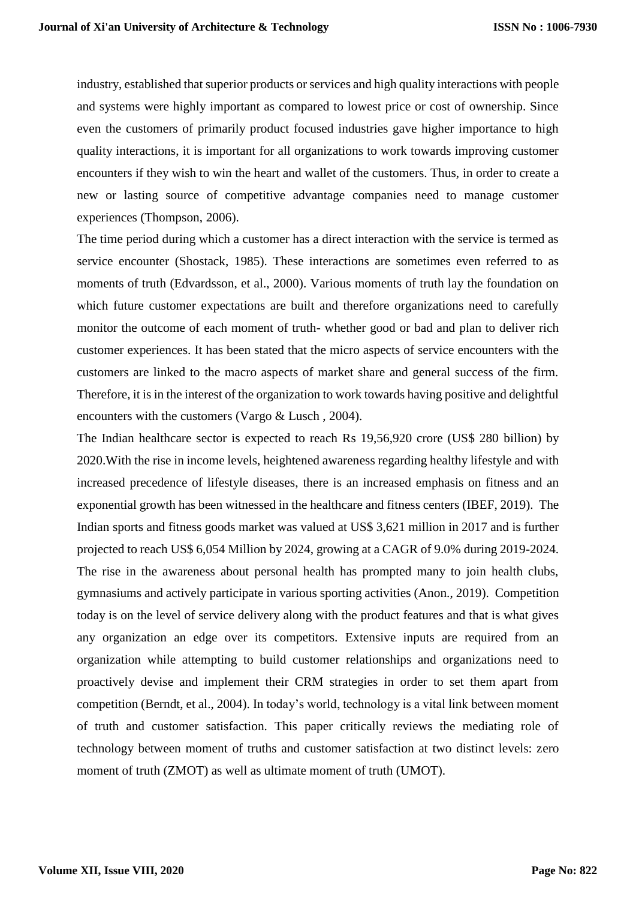industry, established that superior products or services and high quality interactions with people and systems were highly important as compared to lowest price or cost of ownership. Since even the customers of primarily product focused industries gave higher importance to high quality interactions, it is important for all organizations to work towards improving customer encounters if they wish to win the heart and wallet of the customers. Thus, in order to create a new or lasting source of competitive advantage companies need to manage customer experiences (Thompson, 2006).

The time period during which a customer has a direct interaction with the service is termed as service encounter (Shostack, 1985). These interactions are sometimes even referred to as moments of truth (Edvardsson, et al., 2000). Various moments of truth lay the foundation on which future customer expectations are built and therefore organizations need to carefully monitor the outcome of each moment of truth- whether good or bad and plan to deliver rich customer experiences. It has been stated that the micro aspects of service encounters with the customers are linked to the macro aspects of market share and general success of the firm. Therefore, it is in the interest of the organization to work towards having positive and delightful encounters with the customers (Vargo & Lusch , 2004).

The Indian healthcare sector is expected to reach Rs 19,56,920 crore (US\$ 280 billion) by 2020.With the rise in income levels, heightened awareness regarding healthy lifestyle and with increased precedence of lifestyle diseases, there is an increased emphasis on fitness and an exponential growth has been witnessed in the healthcare and fitness centers (IBEF, 2019). The Indian sports and fitness goods market was valued at US\$ 3,621 million in 2017 and is further projected to reach US\$ 6,054 Million by 2024, growing at a CAGR of 9.0% during 2019-2024. The rise in the awareness about personal health has prompted many to join health clubs, gymnasiums and actively participate in various sporting activities (Anon., 2019). Competition today is on the level of service delivery along with the product features and that is what gives any organization an edge over its competitors. Extensive inputs are required from an organization while attempting to build customer relationships and organizations need to proactively devise and implement their CRM strategies in order to set them apart from competition (Berndt, et al., 2004). In today's world, technology is a vital link between moment of truth and customer satisfaction. This paper critically reviews the mediating role of technology between moment of truths and customer satisfaction at two distinct levels: zero moment of truth (ZMOT) as well as ultimate moment of truth (UMOT).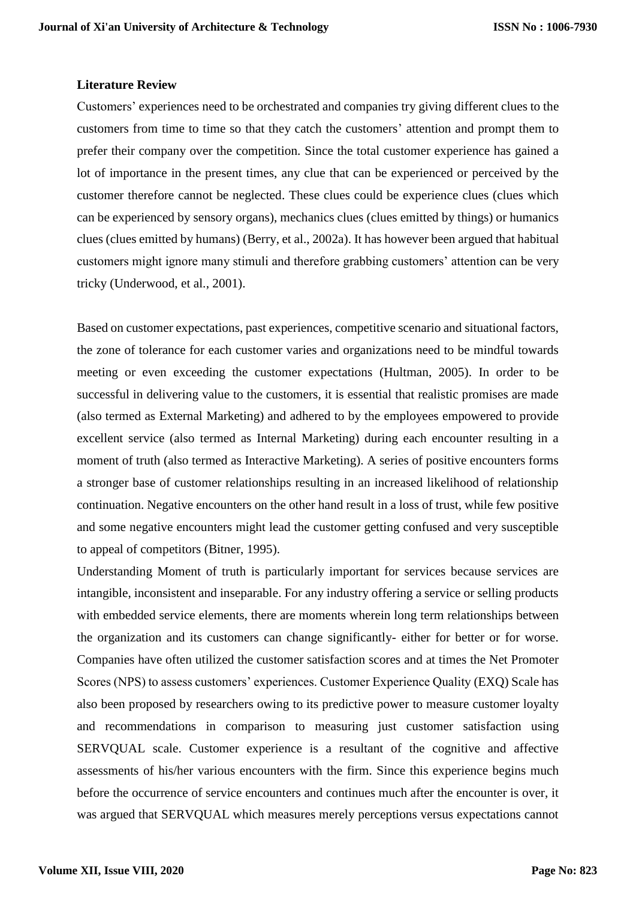#### **Literature Review**

Customers' experiences need to be orchestrated and companies try giving different clues to the customers from time to time so that they catch the customers' attention and prompt them to prefer their company over the competition. Since the total customer experience has gained a lot of importance in the present times, any clue that can be experienced or perceived by the customer therefore cannot be neglected. These clues could be experience clues (clues which can be experienced by sensory organs), mechanics clues (clues emitted by things) or humanics clues (clues emitted by humans) (Berry, et al., 2002a). It has however been argued that habitual customers might ignore many stimuli and therefore grabbing customers' attention can be very tricky (Underwood, et al., 2001).

Based on customer expectations, past experiences, competitive scenario and situational factors, the zone of tolerance for each customer varies and organizations need to be mindful towards meeting or even exceeding the customer expectations (Hultman, 2005). In order to be successful in delivering value to the customers, it is essential that realistic promises are made (also termed as External Marketing) and adhered to by the employees empowered to provide excellent service (also termed as Internal Marketing) during each encounter resulting in a moment of truth (also termed as Interactive Marketing). A series of positive encounters forms a stronger base of customer relationships resulting in an increased likelihood of relationship continuation. Negative encounters on the other hand result in a loss of trust, while few positive and some negative encounters might lead the customer getting confused and very susceptible to appeal of competitors (Bitner, 1995).

Understanding Moment of truth is particularly important for services because services are intangible, inconsistent and inseparable. For any industry offering a service or selling products with embedded service elements, there are moments wherein long term relationships between the organization and its customers can change significantly- either for better or for worse. Companies have often utilized the customer satisfaction scores and at times the Net Promoter Scores (NPS) to assess customers' experiences. Customer Experience Quality (EXQ) Scale has also been proposed by researchers owing to its predictive power to measure customer loyalty and recommendations in comparison to measuring just customer satisfaction using SERVQUAL scale. Customer experience is a resultant of the cognitive and affective assessments of his/her various encounters with the firm. Since this experience begins much before the occurrence of service encounters and continues much after the encounter is over, it was argued that SERVQUAL which measures merely perceptions versus expectations cannot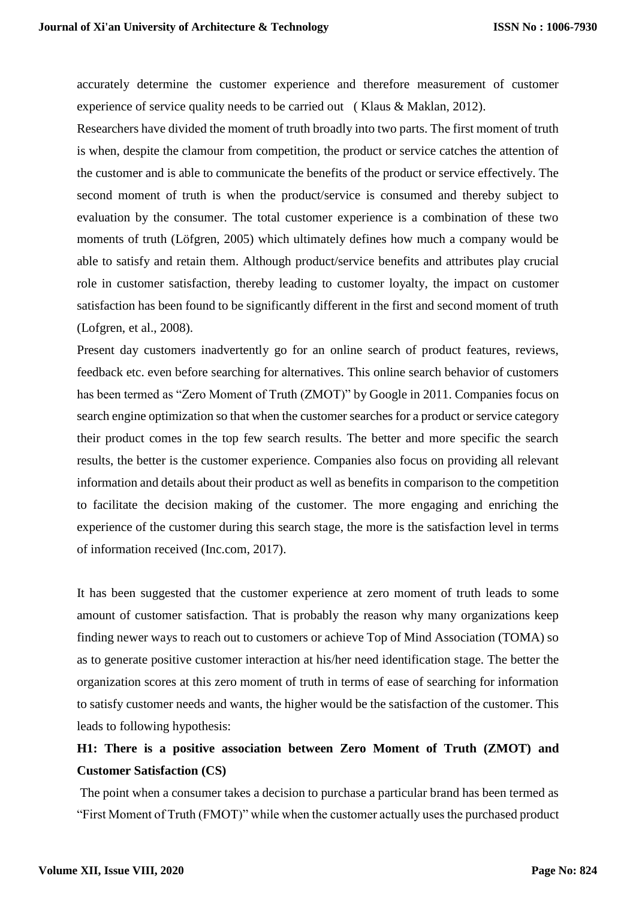accurately determine the customer experience and therefore measurement of customer experience of service quality needs to be carried out ( Klaus & Maklan, 2012).

Researchers have divided the moment of truth broadly into two parts. The first moment of truth is when, despite the clamour from competition, the product or service catches the attention of the customer and is able to communicate the benefits of the product or service effectively. The second moment of truth is when the product/service is consumed and thereby subject to evaluation by the consumer. The total customer experience is a combination of these two moments of truth (Löfgren, 2005) which ultimately defines how much a company would be able to satisfy and retain them. Although product/service benefits and attributes play crucial role in customer satisfaction, thereby leading to customer loyalty, the impact on customer satisfaction has been found to be significantly different in the first and second moment of truth (Lofgren, et al., 2008).

Present day customers inadvertently go for an online search of product features, reviews, feedback etc. even before searching for alternatives. This online search behavior of customers has been termed as "Zero Moment of Truth (ZMOT)" by Google in 2011. Companies focus on search engine optimization so that when the customer searches for a product or service category their product comes in the top few search results. The better and more specific the search results, the better is the customer experience. Companies also focus on providing all relevant information and details about their product as well as benefits in comparison to the competition to facilitate the decision making of the customer. The more engaging and enriching the experience of the customer during this search stage, the more is the satisfaction level in terms of information received (Inc.com, 2017).

It has been suggested that the customer experience at zero moment of truth leads to some amount of customer satisfaction. That is probably the reason why many organizations keep finding newer ways to reach out to customers or achieve Top of Mind Association (TOMA) so as to generate positive customer interaction at his/her need identification stage. The better the organization scores at this zero moment of truth in terms of ease of searching for information to satisfy customer needs and wants, the higher would be the satisfaction of the customer. This leads to following hypothesis:

# **H1: There is a positive association between Zero Moment of Truth (ZMOT) and Customer Satisfaction (CS)**

The point when a consumer takes a decision to purchase a particular brand has been termed as "First Moment of Truth (FMOT)" while when the customer actually uses the purchased product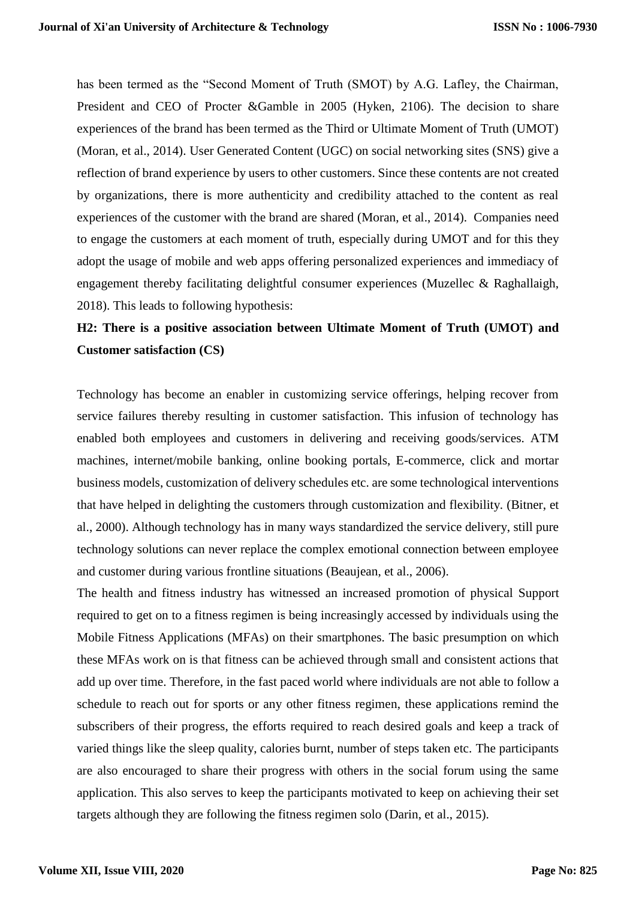has been termed as the "Second Moment of Truth (SMOT) by A.G. Lafley, the Chairman, President and CEO of Procter &Gamble in 2005 (Hyken, 2106). The decision to share experiences of the brand has been termed as the Third or Ultimate Moment of Truth (UMOT) (Moran, et al., 2014). User Generated Content (UGC) on social networking sites (SNS) give a reflection of brand experience by users to other customers. Since these contents are not created by organizations, there is more authenticity and credibility attached to the content as real experiences of the customer with the brand are shared (Moran, et al., 2014). Companies need to engage the customers at each moment of truth, especially during UMOT and for this they adopt the usage of mobile and web apps offering personalized experiences and immediacy of engagement thereby facilitating delightful consumer experiences (Muzellec & Raghallaigh, 2018). This leads to following hypothesis:

## **H2: There is a positive association between Ultimate Moment of Truth (UMOT) and Customer satisfaction (CS)**

Technology has become an enabler in customizing service offerings, helping recover from service failures thereby resulting in customer satisfaction. This infusion of technology has enabled both employees and customers in delivering and receiving goods/services. ATM machines, internet/mobile banking, online booking portals, E-commerce, click and mortar business models, customization of delivery schedules etc. are some technological interventions that have helped in delighting the customers through customization and flexibility. (Bitner, et al., 2000). Although technology has in many ways standardized the service delivery, still pure technology solutions can never replace the complex emotional connection between employee and customer during various frontline situations (Beaujean, et al., 2006).

The health and fitness industry has witnessed an increased promotion of physical Support required to get on to a fitness regimen is being increasingly accessed by individuals using the Mobile Fitness Applications (MFAs) on their smartphones. The basic presumption on which these MFAs work on is that fitness can be achieved through small and consistent actions that add up over time. Therefore, in the fast paced world where individuals are not able to follow a schedule to reach out for sports or any other fitness regimen, these applications remind the subscribers of their progress, the efforts required to reach desired goals and keep a track of varied things like the sleep quality, calories burnt, number of steps taken etc. The participants are also encouraged to share their progress with others in the social forum using the same application. This also serves to keep the participants motivated to keep on achieving their set targets although they are following the fitness regimen solo (Darin, et al., 2015).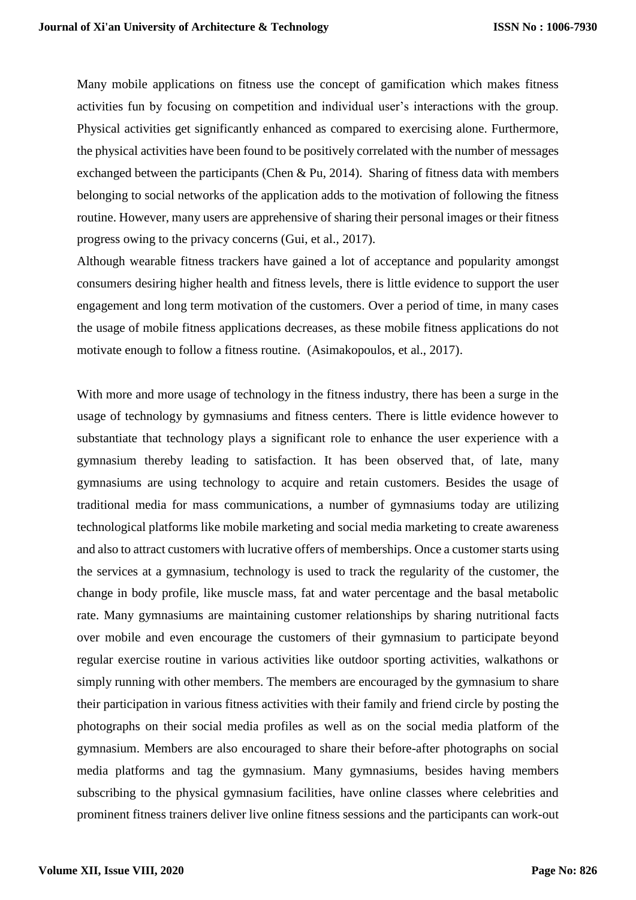Many mobile applications on fitness use the concept of gamification which makes fitness activities fun by focusing on competition and individual user's interactions with the group. Physical activities get significantly enhanced as compared to exercising alone. Furthermore, the physical activities have been found to be positively correlated with the number of messages exchanged between the participants (Chen & Pu, 2014). Sharing of fitness data with members belonging to social networks of the application adds to the motivation of following the fitness routine. However, many users are apprehensive of sharing their personal images or their fitness progress owing to the privacy concerns (Gui, et al., 2017).

Although wearable fitness trackers have gained a lot of acceptance and popularity amongst consumers desiring higher health and fitness levels, there is little evidence to support the user engagement and long term motivation of the customers. Over a period of time, in many cases the usage of mobile fitness applications decreases, as these mobile fitness applications do not motivate enough to follow a fitness routine. (Asimakopoulos, et al., 2017).

With more and more usage of technology in the fitness industry, there has been a surge in the usage of technology by gymnasiums and fitness centers. There is little evidence however to substantiate that technology plays a significant role to enhance the user experience with a gymnasium thereby leading to satisfaction. It has been observed that, of late, many gymnasiums are using technology to acquire and retain customers. Besides the usage of traditional media for mass communications, a number of gymnasiums today are utilizing technological platforms like mobile marketing and social media marketing to create awareness and also to attract customers with lucrative offers of memberships. Once a customer starts using the services at a gymnasium, technology is used to track the regularity of the customer, the change in body profile, like muscle mass, fat and water percentage and the basal metabolic rate. Many gymnasiums are maintaining customer relationships by sharing nutritional facts over mobile and even encourage the customers of their gymnasium to participate beyond regular exercise routine in various activities like outdoor sporting activities, walkathons or simply running with other members. The members are encouraged by the gymnasium to share their participation in various fitness activities with their family and friend circle by posting the photographs on their social media profiles as well as on the social media platform of the gymnasium. Members are also encouraged to share their before-after photographs on social media platforms and tag the gymnasium. Many gymnasiums, besides having members subscribing to the physical gymnasium facilities, have online classes where celebrities and prominent fitness trainers deliver live online fitness sessions and the participants can work-out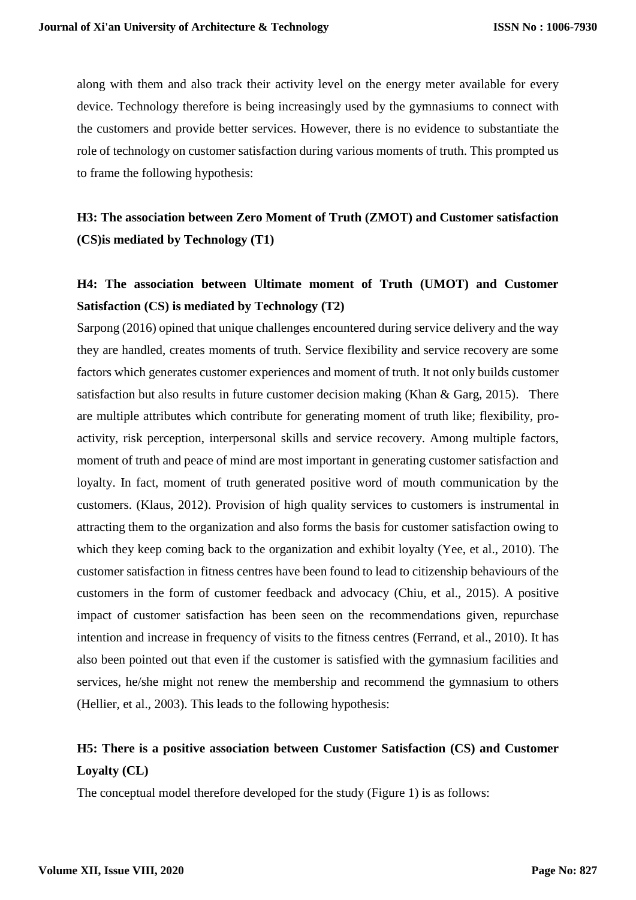along with them and also track their activity level on the energy meter available for every device. Technology therefore is being increasingly used by the gymnasiums to connect with the customers and provide better services. However, there is no evidence to substantiate the role of technology on customer satisfaction during various moments of truth. This prompted us to frame the following hypothesis:

# **H3: The association between Zero Moment of Truth (ZMOT) and Customer satisfaction (CS)is mediated by Technology (T1)**

# **H4: The association between Ultimate moment of Truth (UMOT) and Customer Satisfaction (CS) is mediated by Technology (T2)**

Sarpong (2016) opined that unique challenges encountered during service delivery and the way they are handled, creates moments of truth. Service flexibility and service recovery are some factors which generates customer experiences and moment of truth. It not only builds customer satisfaction but also results in future customer decision making (Khan & Garg, 2015). There are multiple attributes which contribute for generating moment of truth like; flexibility, proactivity, risk perception, interpersonal skills and service recovery. Among multiple factors, moment of truth and peace of mind are most important in generating customer satisfaction and loyalty. In fact, moment of truth generated positive word of mouth communication by the customers. (Klaus, 2012). Provision of high quality services to customers is instrumental in attracting them to the organization and also forms the basis for customer satisfaction owing to which they keep coming back to the organization and exhibit loyalty (Yee, et al., 2010). The customer satisfaction in fitness centres have been found to lead to citizenship behaviours of the customers in the form of customer feedback and advocacy (Chiu, et al., 2015). A positive impact of customer satisfaction has been seen on the recommendations given, repurchase intention and increase in frequency of visits to the fitness centres (Ferrand, et al., 2010). It has also been pointed out that even if the customer is satisfied with the gymnasium facilities and services, he/she might not renew the membership and recommend the gymnasium to others (Hellier, et al., 2003). This leads to the following hypothesis:

# **H5: There is a positive association between Customer Satisfaction (CS) and Customer Loyalty (CL)**

The conceptual model therefore developed for the study (Figure 1) is as follows: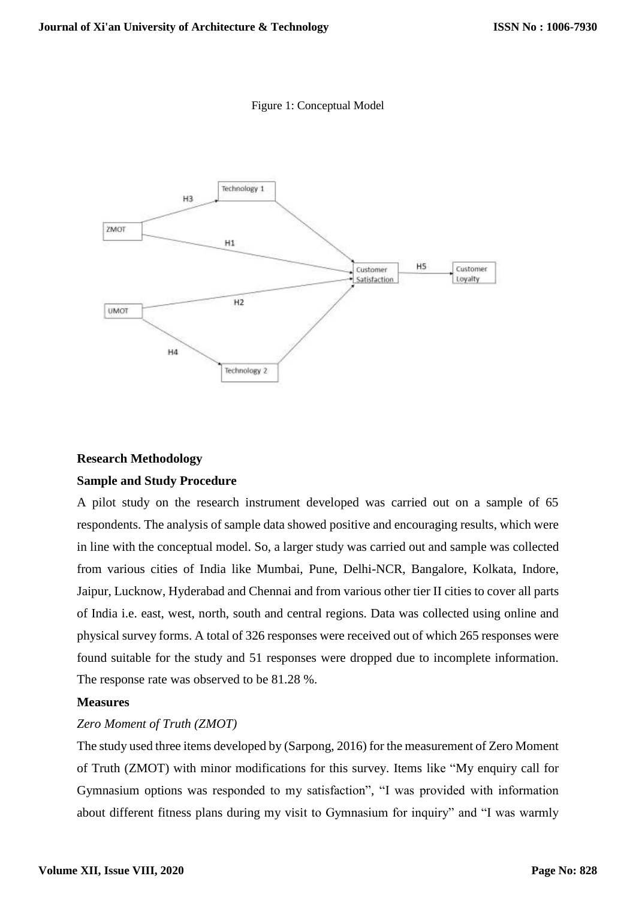Figure 1: Conceptual Model



# **Research Methodology Sample and Study Procedure**

A pilot study on the research instrument developed was carried out on a sample of 65 respondents. The analysis of sample data showed positive and encouraging results, which were in line with the conceptual model. So, a larger study was carried out and sample was collected from various cities of India like Mumbai, Pune, Delhi-NCR, Bangalore, Kolkata, Indore, Jaipur, Lucknow, Hyderabad and Chennai and from various other tier II cities to cover all parts of India i.e. east, west, north, south and central regions. Data was collected using online and physical survey forms. A total of 326 responses were received out of which 265 responses were found suitable for the study and 51 responses were dropped due to incomplete information. The response rate was observed to be 81.28 %.

## **Measures**

## *Zero Moment of Truth (ZMOT)*

The study used three items developed by (Sarpong, 2016) for the measurement of Zero Moment of Truth (ZMOT) with minor modifications for this survey. Items like "My enquiry call for Gymnasium options was responded to my satisfaction", "I was provided with information about different fitness plans during my visit to Gymnasium for inquiry" and "I was warmly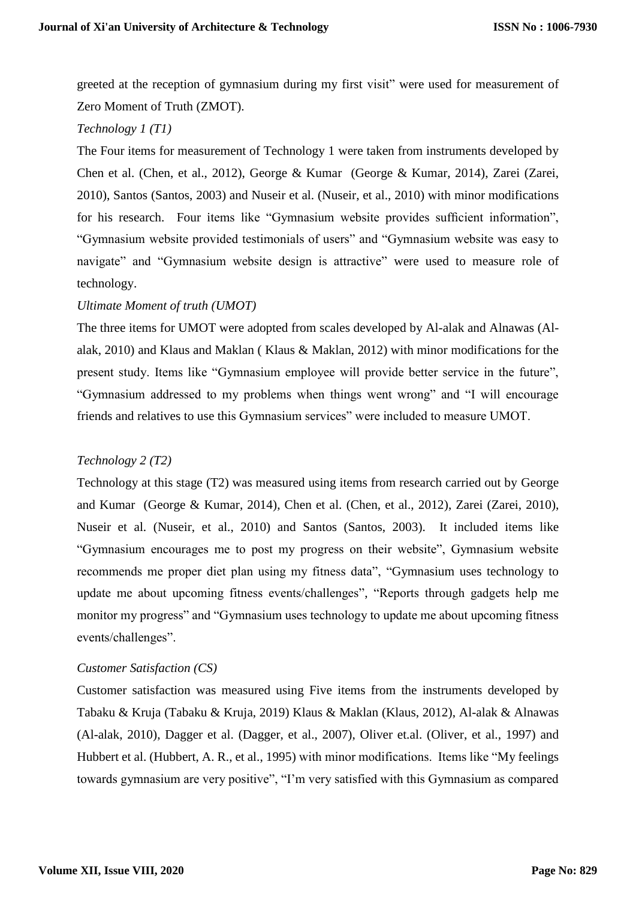greeted at the reception of gymnasium during my first visit" were used for measurement of Zero Moment of Truth (ZMOT).

### *Technology 1 (T1)*

The Four items for measurement of Technology 1 were taken from instruments developed by Chen et al. (Chen, et al., 2012), George & Kumar (George & Kumar, 2014), Zarei (Zarei, 2010), Santos (Santos, 2003) and Nuseir et al. (Nuseir, et al., 2010) with minor modifications for his research. Four items like "Gymnasium website provides sufficient information", "Gymnasium website provided testimonials of users" and "Gymnasium website was easy to navigate" and "Gymnasium website design is attractive" were used to measure role of technology.

### *Ultimate Moment of truth (UMOT)*

The three items for UMOT were adopted from scales developed by Al-alak and Alnawas (Alalak, 2010) and Klaus and Maklan ( Klaus & Maklan, 2012) with minor modifications for the present study. Items like "Gymnasium employee will provide better service in the future", "Gymnasium addressed to my problems when things went wrong" and "I will encourage friends and relatives to use this Gymnasium services" were included to measure UMOT.

## *Technology 2 (T2)*

Technology at this stage (T2) was measured using items from research carried out by George and Kumar (George & Kumar, 2014), Chen et al. (Chen, et al., 2012), Zarei (Zarei, 2010), Nuseir et al. (Nuseir, et al., 2010) and Santos (Santos, 2003). It included items like "Gymnasium encourages me to post my progress on their website", Gymnasium website recommends me proper diet plan using my fitness data", "Gymnasium uses technology to update me about upcoming fitness events/challenges", "Reports through gadgets help me monitor my progress" and "Gymnasium uses technology to update me about upcoming fitness events/challenges".

## *Customer Satisfaction (CS)*

Customer satisfaction was measured using Five items from the instruments developed by Tabaku & Kruja (Tabaku & Kruja, 2019) Klaus & Maklan (Klaus, 2012), Al-alak & Alnawas (Al-alak, 2010), Dagger et al. (Dagger, et al., 2007), Oliver et.al. (Oliver, et al., 1997) and Hubbert et al. (Hubbert, A. R., et al., 1995) with minor modifications. Items like "My feelings towards gymnasium are very positive", "I'm very satisfied with this Gymnasium as compared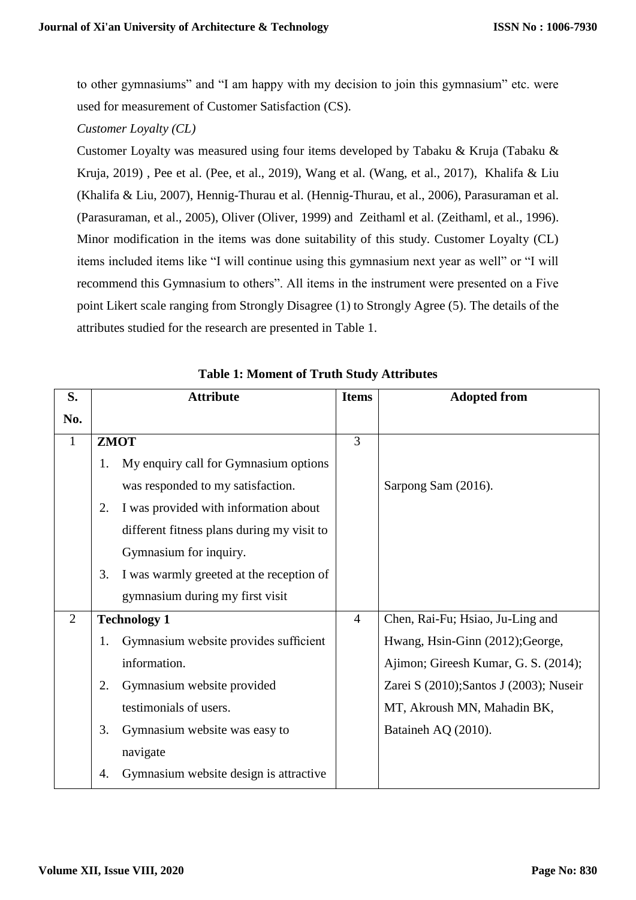to other gymnasiums" and "I am happy with my decision to join this gymnasium" etc. were used for measurement of Customer Satisfaction (CS).

*Customer Loyalty (CL)*

Customer Loyalty was measured using four items developed by Tabaku & Kruja (Tabaku & Kruja, 2019) , Pee et al. (Pee, et al., 2019), Wang et al. (Wang, et al., 2017), Khalifa & Liu (Khalifa & Liu, 2007), Hennig-Thurau et al. (Hennig-Thurau, et al., 2006), Parasuraman et al. (Parasuraman, et al., 2005), Oliver (Oliver, 1999) and Zeithaml et al. (Zeithaml, et al., 1996). Minor modification in the items was done suitability of this study. Customer Loyalty (CL) items included items like "I will continue using this gymnasium next year as well" or "I will recommend this Gymnasium to others". All items in the instrument were presented on a Five point Likert scale ranging from Strongly Disagree (1) to Strongly Agree (5). The details of the attributes studied for the research are presented in Table 1.

| S.             |    | <b>Attribute</b>                           | <b>Items</b>   | <b>Adopted from</b>                     |
|----------------|----|--------------------------------------------|----------------|-----------------------------------------|
| No.            |    |                                            |                |                                         |
| $\mathbf{1}$   |    | <b>ZMOT</b>                                | 3              |                                         |
|                | 1. | My enquiry call for Gymnasium options      |                |                                         |
|                |    | was responded to my satisfaction.          |                | Sarpong Sam (2016).                     |
|                | 2. | I was provided with information about      |                |                                         |
|                |    | different fitness plans during my visit to |                |                                         |
|                |    | Gymnasium for inquiry.                     |                |                                         |
|                | 3. | I was warmly greeted at the reception of   |                |                                         |
|                |    | gymnasium during my first visit            |                |                                         |
| $\overline{2}$ |    | <b>Technology 1</b>                        | $\overline{4}$ | Chen, Rai-Fu; Hsiao, Ju-Ling and        |
|                | 1. | Gymnasium website provides sufficient      |                | Hwang, Hsin-Ginn (2012); George,        |
|                |    | information.                               |                | Ajimon; Gireesh Kumar, G. S. (2014);    |
|                | 2. | Gymnasium website provided                 |                | Zarei S (2010); Santos J (2003); Nuseir |
|                |    | testimonials of users.                     |                | MT, Akroush MN, Mahadin BK,             |
|                | 3. | Gymnasium website was easy to              |                | Bataineh AQ (2010).                     |
|                |    | navigate                                   |                |                                         |
|                | 4. | Gymnasium website design is attractive     |                |                                         |

**Table 1: Moment of Truth Study Attributes**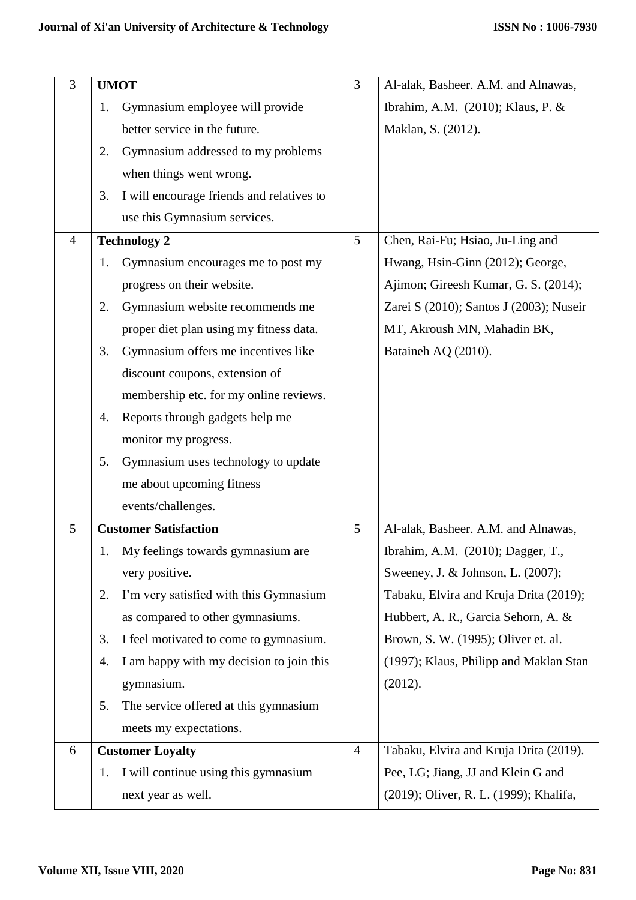| 3              | <b>UMOT</b>                                     |                | Al-alak, Basheer. A.M. and Alnawas,     |
|----------------|-------------------------------------------------|----------------|-----------------------------------------|
|                | Gymnasium employee will provide<br>1.           |                | Ibrahim, A.M. (2010); Klaus, P. &       |
|                | better service in the future.                   |                | Maklan, S. (2012).                      |
|                | Gymnasium addressed to my problems<br>2.        |                |                                         |
|                | when things went wrong.                         |                |                                         |
|                | I will encourage friends and relatives to<br>3. |                |                                         |
|                | use this Gymnasium services.                    |                |                                         |
| $\overline{4}$ | <b>Technology 2</b>                             | 5              | Chen, Rai-Fu; Hsiao, Ju-Ling and        |
|                | Gymnasium encourages me to post my<br>1.        |                | Hwang, Hsin-Ginn (2012); George,        |
|                | progress on their website.                      |                | Ajimon; Gireesh Kumar, G. S. (2014);    |
|                | Gymnasium website recommends me<br>2.           |                | Zarei S (2010); Santos J (2003); Nuseir |
|                | proper diet plan using my fitness data.         |                | MT, Akroush MN, Mahadin BK,             |
|                | Gymnasium offers me incentives like<br>3.       |                | Bataineh AQ (2010).                     |
|                | discount coupons, extension of                  |                |                                         |
|                | membership etc. for my online reviews.          |                |                                         |
|                | Reports through gadgets help me<br>4.           |                |                                         |
|                | monitor my progress.                            |                |                                         |
|                | Gymnasium uses technology to update<br>5.       |                |                                         |
|                | me about upcoming fitness                       |                |                                         |
|                | events/challenges.                              |                |                                         |
| 5              | <b>Customer Satisfaction</b>                    | 5              | Al-alak, Basheer. A.M. and Alnawas,     |
|                | My feelings towards gymnasium are               |                | Ibrahim, A.M. (2010); Dagger, T.,       |
|                | very positive.                                  |                | Sweeney, J. & Johnson, L. (2007);       |
|                | I'm very satisfied with this Gymnasium<br>2.    |                | Tabaku, Elvira and Kruja Drita (2019);  |
|                | as compared to other gymnasiums.                |                | Hubbert, A. R., Garcia Sehorn, A. &     |
|                | I feel motivated to come to gymnasium.<br>3.    |                | Brown, S. W. (1995); Oliver et. al.     |
|                | I am happy with my decision to join this<br>4.  |                | (1997); Klaus, Philipp and Maklan Stan  |
|                | gymnasium.                                      |                | (2012).                                 |
|                | The service offered at this gymnasium<br>5.     |                |                                         |
|                | meets my expectations.                          |                |                                         |
| 6              | <b>Customer Loyalty</b>                         | $\overline{4}$ | Tabaku, Elvira and Kruja Drita (2019).  |
|                | I will continue using this gymnasium<br>1.      |                | Pee, LG; Jiang, JJ and Klein G and      |
|                | next year as well.                              |                | (2019); Oliver, R. L. (1999); Khalifa,  |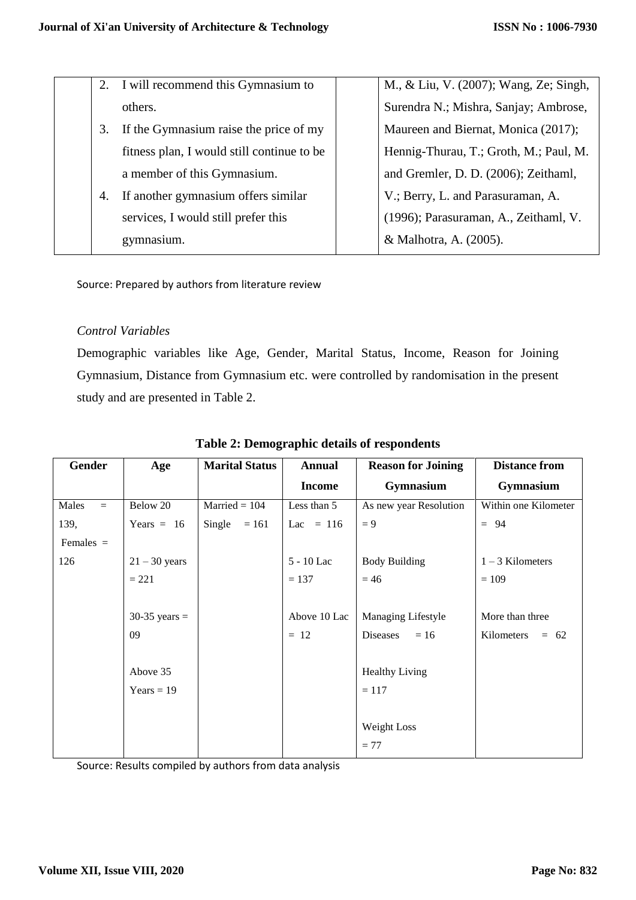|    | 2. I will recommend this Gymnasium to      | M., & Liu, V. (2007); Wang, Ze; Singh, |
|----|--------------------------------------------|----------------------------------------|
|    | others.                                    | Surendra N.; Mishra, Sanjay; Ambrose,  |
| 3. | If the Gymnasium raise the price of my     | Maureen and Biernat, Monica (2017);    |
|    | fitness plan, I would still continue to be | Hennig-Thurau, T.; Groth, M.; Paul, M. |
|    | a member of this Gymnasium.                | and Gremler, D. D. (2006); Zeithaml,   |
| 4. | If another gymnasium offers similar        | V.; Berry, L. and Parasuraman, A.      |
|    | services, I would still prefer this        | (1996); Parasuraman, A., Zeithaml, V.  |
|    | gymnasium.                                 | & Malhotra, A. (2005).                 |
|    |                                            |                                        |

Source: Prepared by authors from literature review

#### *Control Variables*

Demographic variables like Age, Gender, Marital Status, Income, Reason for Joining Gymnasium, Distance from Gymnasium etc. were controlled by randomisation in the present study and are presented in Table 2.

| Gender       | Age             | <b>Marital Status</b> | <b>Annual</b> | <b>Reason for Joining</b> | <b>Distance from</b> |
|--------------|-----------------|-----------------------|---------------|---------------------------|----------------------|
|              |                 |                       | <b>Income</b> | Gymnasium                 | Gymnasium            |
| Males<br>$=$ | Below 20        | $Married = 104$       | Less than 5   | As new year Resolution    | Within one Kilometer |
| 139,         | Years $= 16$    | Single<br>$= 161$     | Lac = $116$   | $= 9$                     | $= 94$               |
| Females $=$  |                 |                       |               |                           |                      |
| 126          | $21 - 30$ years |                       | 5 - 10 Lac    | <b>Body Building</b>      | $1 - 3$ Kilometers   |
|              | $= 221$         |                       | $= 137$       | $= 46$                    | $= 109$              |
|              |                 |                       |               |                           |                      |
|              | $30-35$ years = |                       | Above 10 Lac  | Managing Lifestyle        | More than three      |
|              | 09              |                       | $= 12$        | Diseases<br>$=16$         | Kilometers<br>$= 62$ |
|              |                 |                       |               |                           |                      |
|              | Above 35        |                       |               | <b>Healthy Living</b>     |                      |
|              | $Years = 19$    |                       |               | $= 117$                   |                      |
|              |                 |                       |               |                           |                      |
|              |                 |                       |               | Weight Loss               |                      |
|              |                 |                       |               | $= 77$                    |                      |

## **Table 2: Demographic details of respondents**

Source: Results compiled by authors from data analysis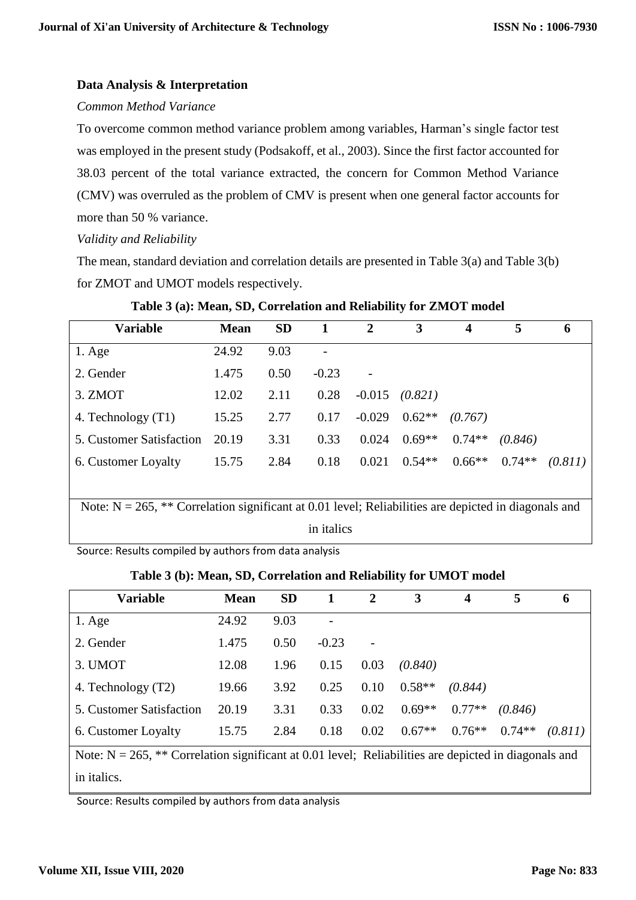## **Data Analysis & Interpretation**

### *Common Method Variance*

To overcome common method variance problem among variables, Harman's single factor test was employed in the present study (Podsakoff, et al., 2003). Since the first factor accounted for 38.03 percent of the total variance extracted, the concern for Common Method Variance (CMV) was overruled as the problem of CMV is present when one general factor accounts for more than 50 % variance.

## *Validity and Reliability*

The mean, standard deviation and correlation details are presented in Table 3(a) and Table 3(b) for ZMOT and UMOT models respectively.

| <b>Variable</b>                                                                                         | <b>Mean</b> | <b>SD</b> |         | $\overline{2}$ | 3        | 4        | 5        | 6       |
|---------------------------------------------------------------------------------------------------------|-------------|-----------|---------|----------------|----------|----------|----------|---------|
| $1. \text{Age}$                                                                                         | 24.92       | 9.03      |         |                |          |          |          |         |
| 2. Gender                                                                                               | 1.475       | 0.50      | $-0.23$ |                |          |          |          |         |
| 3. ZMOT                                                                                                 | 12.02       | 2.11      | 0.28    | $-0.015$       | (0.821)  |          |          |         |
| 4. Technology (T1)                                                                                      | 15.25       | 2.77      | 0.17    | $-0.029$       | $0.62**$ | (0.767)  |          |         |
| 5. Customer Satisfaction                                                                                | 20.19       | 3.31      | 0.33    | 0.024          | $0.69**$ | $0.74**$ | (0.846)  |         |
| 6. Customer Loyalty                                                                                     | 15.75       | 2.84      | 0.18    | 0.021          | $0.54**$ | $0.66**$ | $0.74**$ | (0.811) |
|                                                                                                         |             |           |         |                |          |          |          |         |
| Note: $N = 265$ , ** Correlation significant at 0.01 level; Reliabilities are depicted in diagonals and |             |           |         |                |          |          |          |         |
| in italics                                                                                              |             |           |         |                |          |          |          |         |

### **Table 3 (a): Mean, SD, Correlation and Reliability for ZMOT model**

Source: Results compiled by authors from data analysis

### **Table 3 (b): Mean, SD, Correlation and Reliability for UMOT model**

| Variable                                                                                                | <b>Mean</b> | <b>SD</b> |         | 2    | 3        | 4        | 5        | 6       |
|---------------------------------------------------------------------------------------------------------|-------------|-----------|---------|------|----------|----------|----------|---------|
| $1. \text{Age}$                                                                                         | 24.92       | 9.03      |         |      |          |          |          |         |
| 2. Gender                                                                                               | 1.475       | 0.50      | $-0.23$ |      |          |          |          |         |
| 3. UMOT                                                                                                 | 12.08       | 1.96      | 0.15    | 0.03 | (0.840)  |          |          |         |
| 4. Technology (T2)                                                                                      | 19.66       | 3.92      | 0.25    | 0.10 | $0.58**$ | (0.844)  |          |         |
| 5. Customer Satisfaction                                                                                | 20.19       | 3.31      | 0.33    | 0.02 | $0.69**$ | $0.77**$ | (0.846)  |         |
| 6. Customer Loyalty                                                                                     | 15.75       | 2.84      | 0.18    | 0.02 | $0.67**$ | $0.76**$ | $0.74**$ | (0.811) |
| Note: $N = 265$ , ** Correlation significant at 0.01 level: Reliabilities are depicted in diagonals and |             |           |         |      |          |          |          |         |

Note:  $N = 265$ , \*\* Correlation significant at 0.01 level; Reliabilities are depicted in diagonals and in italics.

Source: Results compiled by authors from data analysis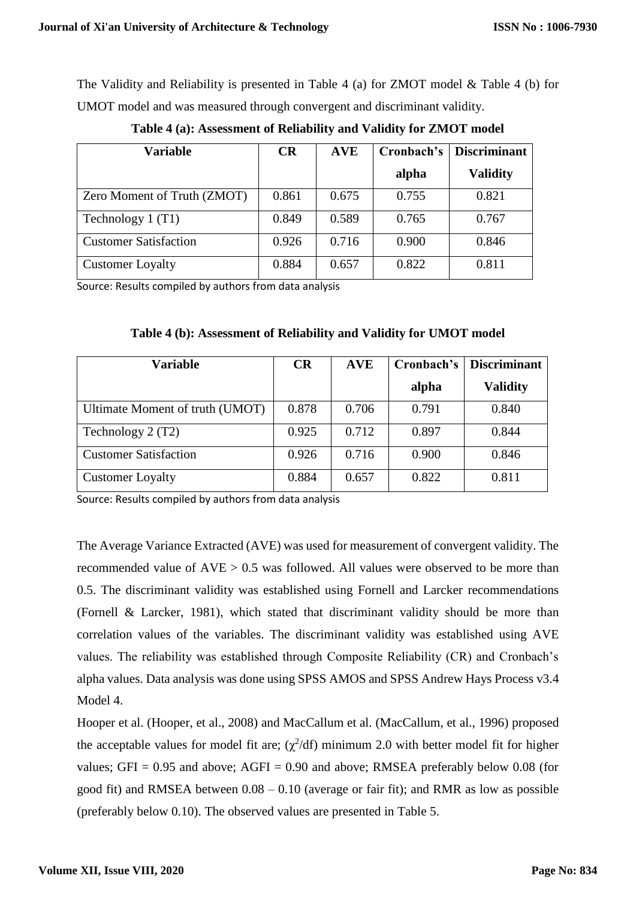The Validity and Reliability is presented in Table 4 (a) for ZMOT model & Table 4 (b) for UMOT model and was measured through convergent and discriminant validity.

| <b>Variable</b>              | CR    | <b>AVE</b> | Cronbach's | <b>Discriminant</b> |
|------------------------------|-------|------------|------------|---------------------|
|                              |       |            | alpha      | <b>Validity</b>     |
| Zero Moment of Truth (ZMOT)  | 0.861 | 0.675      | 0.755      | 0.821               |
| Technology $1(T1)$           | 0.849 | 0.589      | 0.765      | 0.767               |
| <b>Customer Satisfaction</b> | 0.926 | 0.716      | 0.900      | 0.846               |
| <b>Customer Loyalty</b>      | 0.884 | 0.657      | 0.822      | 0.811               |

**Table 4 (a): Assessment of Reliability and Validity for ZMOT model**

Source: Results compiled by authors from data analysis

| <b>Variable</b>                 | <b>CR</b> | <b>AVE</b> | Cronbach's | <b>Discriminant</b> |
|---------------------------------|-----------|------------|------------|---------------------|
|                                 |           |            | alpha      | <b>Validity</b>     |
| Ultimate Moment of truth (UMOT) | 0.878     | 0.706      | 0.791      | 0.840               |
| Technology 2 (T2)               | 0.925     | 0.712      | 0.897      | 0.844               |
| <b>Customer Satisfaction</b>    | 0.926     | 0.716      | 0.900      | 0.846               |
| <b>Customer Loyalty</b>         | 0.884     | 0.657      | 0.822      | 0.811               |

**Table 4 (b): Assessment of Reliability and Validity for UMOT model**

Source: Results compiled by authors from data analysis

The Average Variance Extracted (AVE) was used for measurement of convergent validity. The recommended value of  $AVE > 0.5$  was followed. All values were observed to be more than 0.5. The discriminant validity was established using Fornell and Larcker recommendations (Fornell & Larcker, 1981), which stated that discriminant validity should be more than correlation values of the variables. The discriminant validity was established using AVE values. The reliability was established through Composite Reliability (CR) and Cronbach's alpha values. Data analysis was done using SPSS AMOS and SPSS Andrew Hays Process v3.4 Model 4.

Hooper et al. (Hooper, et al., 2008) and MacCallum et al. (MacCallum, et al., 1996) proposed the acceptable values for model fit are;  $(\chi^2/df)$  minimum 2.0 with better model fit for higher values;  $GFI = 0.95$  and above;  $AGFI = 0.90$  and above; RMSEA preferably below 0.08 (for good fit) and RMSEA between 0.08 – 0.10 (average or fair fit); and RMR as low as possible (preferably below 0.10). The observed values are presented in Table 5.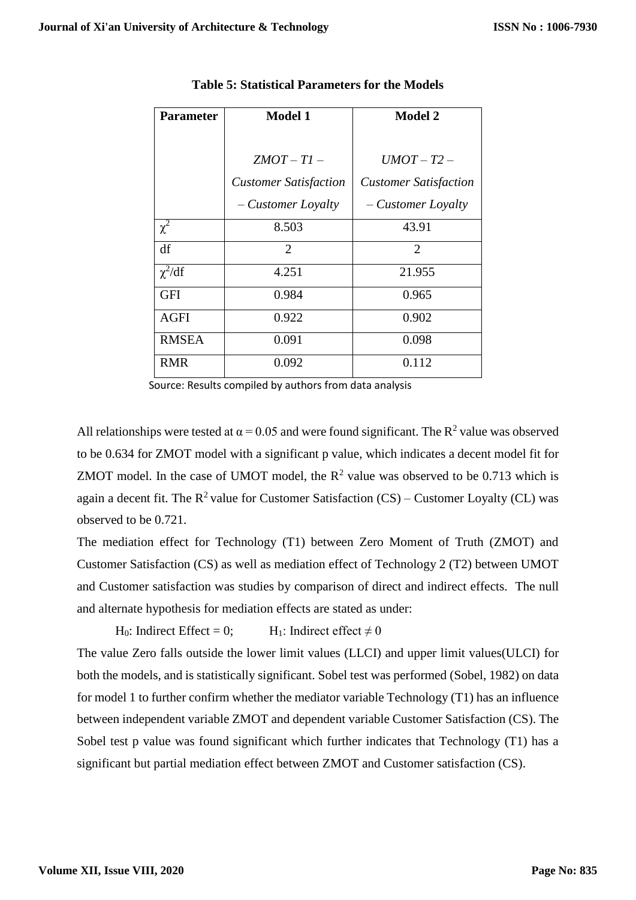| <b>Parameter</b> | <b>Model 1</b>               | <b>Model 2</b>               |
|------------------|------------------------------|------------------------------|
|                  |                              |                              |
|                  | $ZMOT-T1-$                   | $UMOT-T2-$                   |
|                  | <b>Customer Satisfaction</b> | <b>Customer Satisfaction</b> |
|                  | - Customer Loyalty           | - Customer Loyalty           |
| $\chi^2$         | 8.503                        | 43.91                        |
| df               | 2                            | 2                            |
| $\chi^2/df$      | 4.251                        | 21.955                       |
| <b>GFI</b>       | 0.984                        | 0.965                        |
| <b>AGFI</b>      | 0.922                        | 0.902                        |
| <b>RMSEA</b>     | 0.091                        | 0.098                        |
| <b>RMR</b>       | 0.092                        | 0.112                        |

#### **Table 5: Statistical Parameters for the Models**

Source: Results compiled by authors from data analysis

All relationships were tested at  $\alpha$  = 0.05 and were found significant. The R<sup>2</sup> value was observed to be 0.634 for ZMOT model with a significant p value, which indicates a decent model fit for ZMOT model. In the case of UMOT model, the  $R^2$  value was observed to be 0.713 which is again a decent fit. The  $R^2$  value for Customer Satisfaction (CS) – Customer Loyalty (CL) was observed to be 0.721.

The mediation effect for Technology (T1) between Zero Moment of Truth (ZMOT) and Customer Satisfaction (CS) as well as mediation effect of Technology 2 (T2) between UMOT and Customer satisfaction was studies by comparison of direct and indirect effects. The null and alternate hypothesis for mediation effects are stated as under:

H<sub>0</sub>: Indirect Effect = 0; H<sub>1</sub>: Indirect effect  $\neq$  0

The value Zero falls outside the lower limit values (LLCI) and upper limit values(ULCI) for both the models, and is statistically significant. Sobel test was performed (Sobel, 1982) on data for model 1 to further confirm whether the mediator variable Technology (T1) has an influence between independent variable ZMOT and dependent variable Customer Satisfaction (CS). The Sobel test p value was found significant which further indicates that Technology (T1) has a significant but partial mediation effect between ZMOT and Customer satisfaction (CS).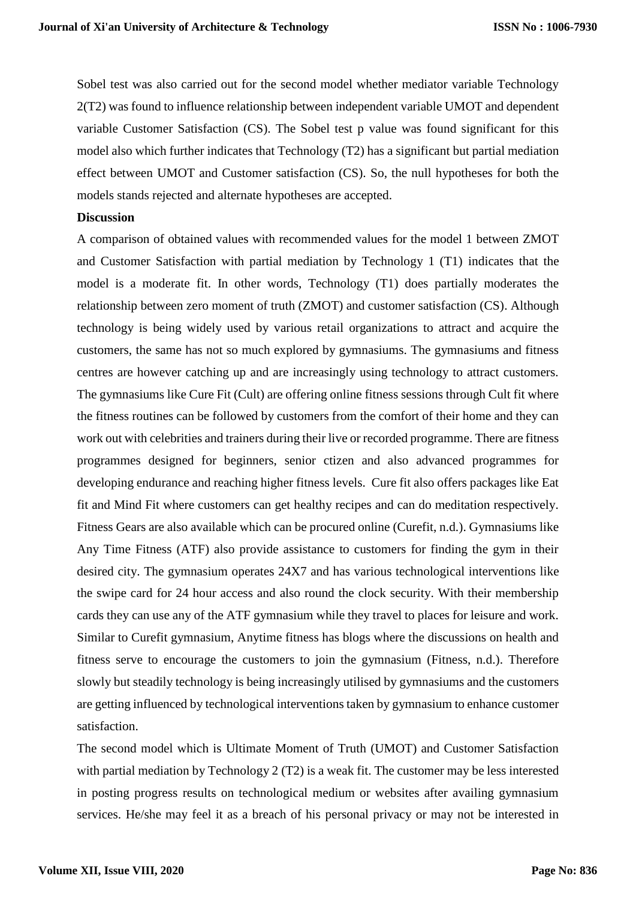Sobel test was also carried out for the second model whether mediator variable Technology 2(T2) was found to influence relationship between independent variable UMOT and dependent variable Customer Satisfaction (CS). The Sobel test p value was found significant for this model also which further indicates that Technology (T2) has a significant but partial mediation effect between UMOT and Customer satisfaction (CS). So, the null hypotheses for both the models stands rejected and alternate hypotheses are accepted.

#### **Discussion**

A comparison of obtained values with recommended values for the model 1 between ZMOT and Customer Satisfaction with partial mediation by Technology 1 (T1) indicates that the model is a moderate fit. In other words, Technology (T1) does partially moderates the relationship between zero moment of truth (ZMOT) and customer satisfaction (CS). Although technology is being widely used by various retail organizations to attract and acquire the customers, the same has not so much explored by gymnasiums. The gymnasiums and fitness centres are however catching up and are increasingly using technology to attract customers. The gymnasiums like Cure Fit (Cult) are offering online fitness sessions through Cult fit where the fitness routines can be followed by customers from the comfort of their home and they can work out with celebrities and trainers during their live or recorded programme. There are fitness programmes designed for beginners, senior ctizen and also advanced programmes for developing endurance and reaching higher fitness levels. Cure fit also offers packages like Eat fit and Mind Fit where customers can get healthy recipes and can do meditation respectively. Fitness Gears are also available which can be procured online (Curefit, n.d.). Gymnasiums like Any Time Fitness (ATF) also provide assistance to customers for finding the gym in their desired city. The gymnasium operates 24X7 and has various technological interventions like the swipe card for 24 hour access and also round the clock security. With their membership cards they can use any of the ATF gymnasium while they travel to places for leisure and work. Similar to Curefit gymnasium, Anytime fitness has blogs where the discussions on health and fitness serve to encourage the customers to join the gymnasium (Fitness, n.d.). Therefore slowly but steadily technology is being increasingly utilised by gymnasiums and the customers are getting influenced by technological interventions taken by gymnasium to enhance customer satisfaction.

The second model which is Ultimate Moment of Truth (UMOT) and Customer Satisfaction with partial mediation by Technology 2 (T2) is a weak fit. The customer may be less interested in posting progress results on technological medium or websites after availing gymnasium services. He/she may feel it as a breach of his personal privacy or may not be interested in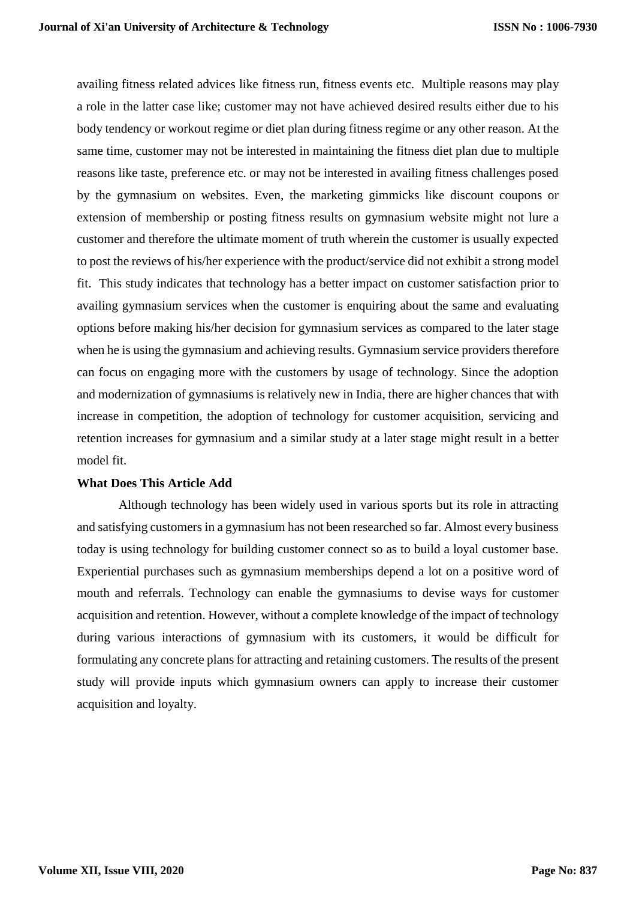availing fitness related advices like fitness run, fitness events etc. Multiple reasons may play a role in the latter case like; customer may not have achieved desired results either due to his body tendency or workout regime or diet plan during fitness regime or any other reason. At the same time, customer may not be interested in maintaining the fitness diet plan due to multiple reasons like taste, preference etc. or may not be interested in availing fitness challenges posed by the gymnasium on websites. Even, the marketing gimmicks like discount coupons or extension of membership or posting fitness results on gymnasium website might not lure a customer and therefore the ultimate moment of truth wherein the customer is usually expected to post the reviews of his/her experience with the product/service did not exhibit a strong model fit. This study indicates that technology has a better impact on customer satisfaction prior to availing gymnasium services when the customer is enquiring about the same and evaluating options before making his/her decision for gymnasium services as compared to the later stage when he is using the gymnasium and achieving results. Gymnasium service providers therefore can focus on engaging more with the customers by usage of technology. Since the adoption and modernization of gymnasiums is relatively new in India, there are higher chances that with increase in competition, the adoption of technology for customer acquisition, servicing and retention increases for gymnasium and a similar study at a later stage might result in a better model fit.

#### **What Does This Article Add**

Although technology has been widely used in various sports but its role in attracting and satisfying customers in a gymnasium has not been researched so far. Almost every business today is using technology for building customer connect so as to build a loyal customer base. Experiential purchases such as gymnasium memberships depend a lot on a positive word of mouth and referrals. Technology can enable the gymnasiums to devise ways for customer acquisition and retention. However, without a complete knowledge of the impact of technology during various interactions of gymnasium with its customers, it would be difficult for formulating any concrete plans for attracting and retaining customers. The results of the present study will provide inputs which gymnasium owners can apply to increase their customer acquisition and loyalty.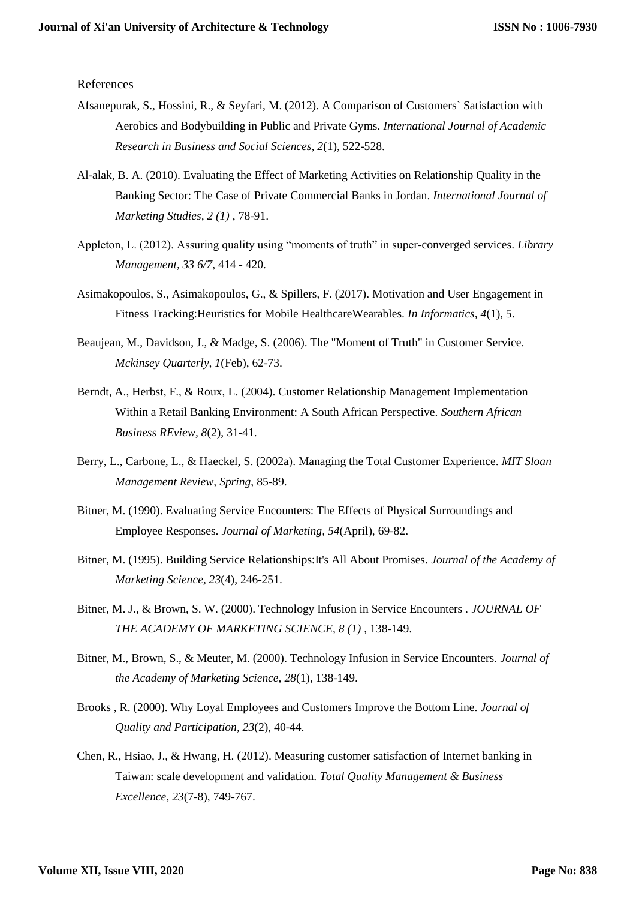References

- Afsanepurak, S., Hossini, R., & Seyfari, M. (2012). A Comparison of Customers` Satisfaction with Aerobics and Bodybuilding in Public and Private Gyms. *International Journal of Academic Research in Business and Social Sciences, 2*(1), 522-528.
- Al-alak, B. A. (2010). Evaluating the Effect of Marketing Activities on Relationship Quality in the Banking Sector: The Case of Private Commercial Banks in Jordan. *International Journal of Marketing Studies, 2 (1)* , 78-91.
- Appleton, L. (2012). Assuring quality using "moments of truth" in super-converged services. *Library Management, 33 6/7*, 414 - 420.
- Asimakopoulos, S., Asimakopoulos, G., & Spillers, F. (2017). Motivation and User Engagement in Fitness Tracking:Heuristics for Mobile HealthcareWearables. *In Informatics, 4*(1), 5.
- Beaujean, M., Davidson, J., & Madge, S. (2006). The "Moment of Truth" in Customer Service. *Mckinsey Quarterly, 1*(Feb), 62-73.
- Berndt, A., Herbst, F., & Roux, L. (2004). Customer Relationship Management Implementation Within a Retail Banking Environment: A South African Perspective. *Southern African Business REview, 8*(2), 31-41.
- Berry, L., Carbone, L., & Haeckel, S. (2002a). Managing the Total Customer Experience. *MIT Sloan Management Review, Spring*, 85-89.
- Bitner, M. (1990). Evaluating Service Encounters: The Effects of Physical Surroundings and Employee Responses. *Journal of Marketing, 54*(April), 69-82.
- Bitner, M. (1995). Building Service Relationships:It's All About Promises. *Journal of the Academy of Marketing Science, 23*(4), 246-251.
- Bitner, M. J., & Brown, S. W. (2000). Technology Infusion in Service Encounters . *JOURNAL OF THE ACADEMY OF MARKETING SCIENCE, 8 (1)* , 138-149.
- Bitner, M., Brown, S., & Meuter, M. (2000). Technology Infusion in Service Encounters. *Journal of the Academy of Marketing Science, 28*(1), 138-149.
- Brooks , R. (2000). Why Loyal Employees and Customers Improve the Bottom Line. *Journal of Quality and Participation, 23*(2), 40-44.
- Chen, R., Hsiao, J., & Hwang, H. (2012). Measuring customer satisfaction of Internet banking in Taiwan: scale development and validation. *Total Quality Management & Business Excellence, 23*(7-8), 749-767.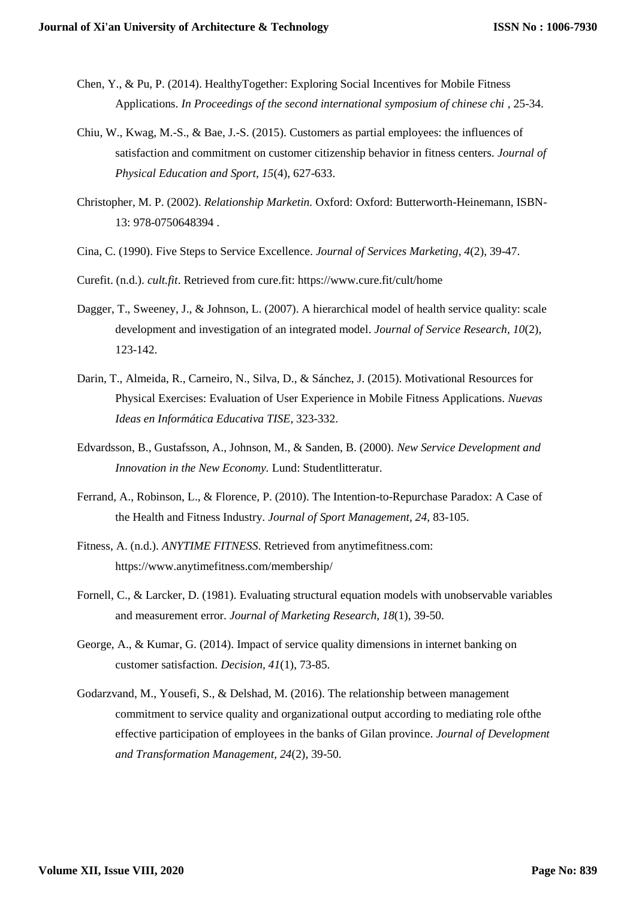- Chen, Y., & Pu, P. (2014). HealthyTogether: Exploring Social Incentives for Mobile Fitness Applications. *In Proceedings of the second international symposium of chinese chi* , 25-34.
- Chiu, W., Kwag, M.-S., & Bae, J.-S. (2015). Customers as partial employees: the influences of satisfaction and commitment on customer citizenship behavior in fitness centers. *Journal of Physical Education and Sport, 15*(4), 627-633.
- Christopher, M. P. (2002). *Relationship Marketin.* Oxford: Oxford: Butterworth-Heinemann, ISBN-13: 978-0750648394 .
- Cina, C. (1990). Five Steps to Service Excellence. *Journal of Services Marketing, 4*(2), 39-47.
- Curefit. (n.d.). *cult.fit*. Retrieved from cure.fit: https://www.cure.fit/cult/home
- Dagger, T., Sweeney, J., & Johnson, L. (2007). A hierarchical model of health service quality: scale development and investigation of an integrated model. *Journal of Service Research, 10*(2), 123-142.
- Darin, T., Almeida, R., Carneiro, N., Silva, D., & Sánchez, J. (2015). Motivational Resources for Physical Exercises: Evaluation of User Experience in Mobile Fitness Applications. *Nuevas Ideas en Informática Educativa TISE*, 323-332.
- Edvardsson, B., Gustafsson, A., Johnson, M., & Sanden, B. (2000). *New Service Development and Innovation in the New Economy.* Lund: Studentlitteratur.
- Ferrand, A., Robinson, L., & Florence, P. (2010). The Intention-to-Repurchase Paradox: A Case of the Health and Fitness Industry. *Journal of Sport Management, 24*, 83-105.
- Fitness, A. (n.d.). *ANYTIME FITNESS*. Retrieved from anytimefitness.com: https://www.anytimefitness.com/membership/
- Fornell, C., & Larcker, D. (1981). Evaluating structural equation models with unobservable variables and measurement error. *Journal of Marketing Research, 18*(1), 39-50.
- George, A., & Kumar, G. (2014). Impact of service quality dimensions in internet banking on customer satisfaction. *Decision, 41*(1), 73-85.
- Godarzvand, M., Yousefi, S., & Delshad, M. (2016). The relationship between management commitment to service quality and organizational output according to mediating role ofthe effective participation of employees in the banks of Gilan province. *Journal of Development and Transformation Management, 24*(2), 39-50.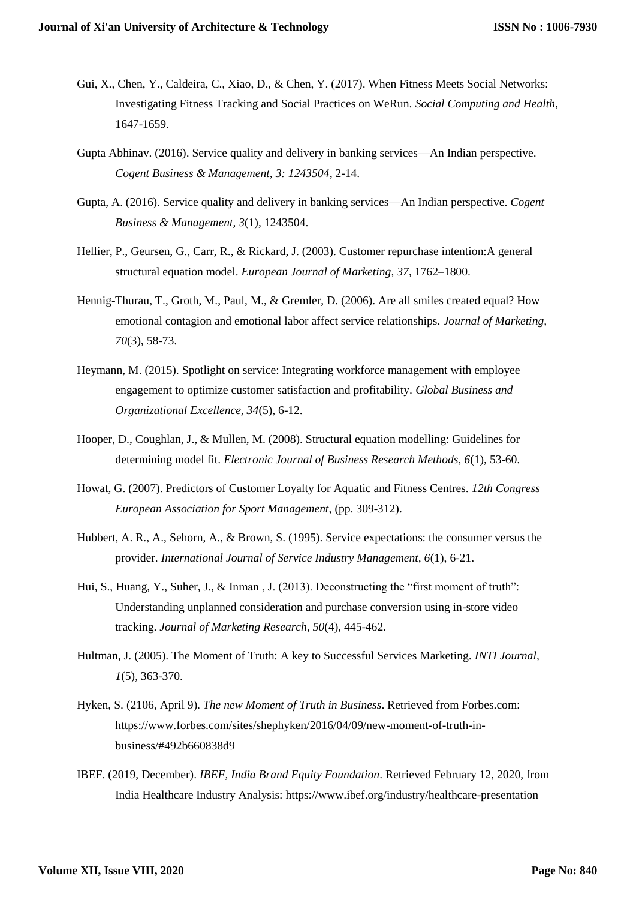- Gui, X., Chen, Y., Caldeira, C., Xiao, D., & Chen, Y. (2017). When Fitness Meets Social Networks: Investigating Fitness Tracking and Social Practices on WeRun. *Social Computing and Health*, 1647-1659.
- Gupta Abhinav. (2016). Service quality and delivery in banking services—An Indian perspective. *Cogent Business & Management, 3: 1243504*, 2-14.
- Gupta, A. (2016). Service quality and delivery in banking services—An Indian perspective. *Cogent Business & Management, 3*(1), 1243504.
- Hellier, P., Geursen, G., Carr, R., & Rickard, J. (2003). Customer repurchase intention:A general structural equation model. *European Journal of Marketing, 37*, 1762–1800.
- Hennig-Thurau, T., Groth, M., Paul, M., & Gremler, D. (2006). Are all smiles created equal? How emotional contagion and emotional labor affect service relationships. *Journal of Marketing, 70*(3), 58-73.
- Heymann, M. (2015). Spotlight on service: Integrating workforce management with employee engagement to optimize customer satisfaction and profitability. *Global Business and Organizational Excellence, 34*(5), 6-12.
- Hooper, D., Coughlan, J., & Mullen, M. (2008). Structural equation modelling: Guidelines for determining model fit. *Electronic Journal of Business Research Methods, 6*(1), 53-60.
- Howat, G. (2007). Predictors of Customer Loyalty for Aquatic and Fitness Centres. *12th Congress European Association for Sport Management*, (pp. 309-312).
- Hubbert, A. R., A., Sehorn, A., & Brown, S. (1995). Service expectations: the consumer versus the provider. *International Journal of Service Industry Management, 6*(1), 6-21.
- Hui, S., Huang, Y., Suher, J., & Inman , J. (2013). Deconstructing the "first moment of truth": Understanding unplanned consideration and purchase conversion using in-store video tracking. *Journal of Marketing Research, 50*(4), 445-462.
- Hultman, J. (2005). The Moment of Truth: A key to Successful Services Marketing. *INTI Journal, 1*(5), 363-370.
- Hyken, S. (2106, April 9). *The new Moment of Truth in Business*. Retrieved from Forbes.com: https://www.forbes.com/sites/shephyken/2016/04/09/new-moment-of-truth-inbusiness/#492b660838d9
- IBEF. (2019, December). *IBEF, India Brand Equity Foundation*. Retrieved February 12, 2020, from India Healthcare Industry Analysis: https://www.ibef.org/industry/healthcare-presentation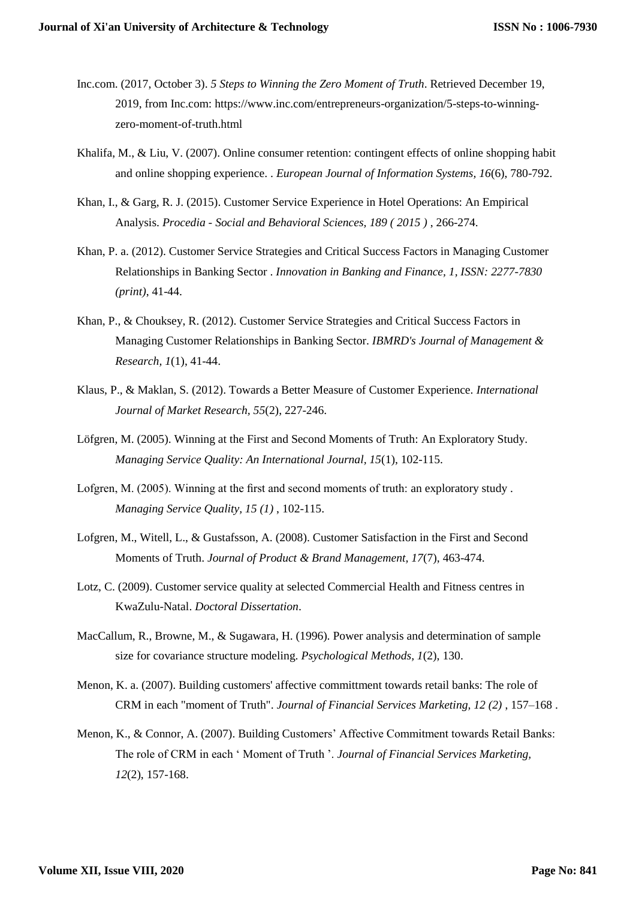- Inc.com. (2017, October 3). *5 Steps to Winning the Zero Moment of Truth*. Retrieved December 19, 2019, from Inc.com: https://www.inc.com/entrepreneurs-organization/5-steps-to-winningzero-moment-of-truth.html
- Khalifa, M., & Liu, V. (2007). Online consumer retention: contingent effects of online shopping habit and online shopping experience. . *European Journal of Information Systems, 16*(6), 780-792.
- Khan, I., & Garg, R. J. (2015). Customer Service Experience in Hotel Operations: An Empirical Analysis. *Procedia - Social and Behavioral Sciences, 189 ( 2015 )* , 266-274.
- Khan, P. a. (2012). Customer Service Strategies and Critical Success Factors in Managing Customer Relationships in Banking Sector . *Innovation in Banking and Finance, 1, ISSN: 2277-7830 (print)*, 41-44.
- Khan, P., & Chouksey, R. (2012). Customer Service Strategies and Critical Success Factors in Managing Customer Relationships in Banking Sector. *IBMRD's Journal of Management & Research, 1*(1), 41-44.
- Klaus, P., & Maklan, S. (2012). Towards a Better Measure of Customer Experience. *International Journal of Market Research, 55*(2), 227-246.
- Löfgren, M. (2005). Winning at the First and Second Moments of Truth: An Exploratory Study. *Managing Service Quality: An International Journal, 15*(1), 102-115.
- Lofgren, M. (2005). Winning at the first and second moments of truth: an exploratory study. *Managing Service Quality, 15 (1)* , 102-115.
- Lofgren, M., Witell, L., & Gustafsson, A. (2008). Customer Satisfaction in the First and Second Moments of Truth. *Journal of Product & Brand Management, 17*(7), 463-474.
- Lotz, C. (2009). Customer service quality at selected Commercial Health and Fitness centres in KwaZulu-Natal. *Doctoral Dissertation*.
- MacCallum, R., Browne, M., & Sugawara, H. (1996). Power analysis and determination of sample size for covariance structure modeling. *Psychological Methods, 1*(2), 130.
- Menon, K. a. (2007). Building customers' affective committment towards retail banks: The role of CRM in each "moment of Truth". *Journal of Financial Services Marketing, 12 (2)* , 157–168 .
- Menon, K., & Connor, A. (2007). Building Customers' Affective Commitment towards Retail Banks: The role of CRM in each ' Moment of Truth '. *Journal of Financial Services Marketing, 12*(2), 157-168.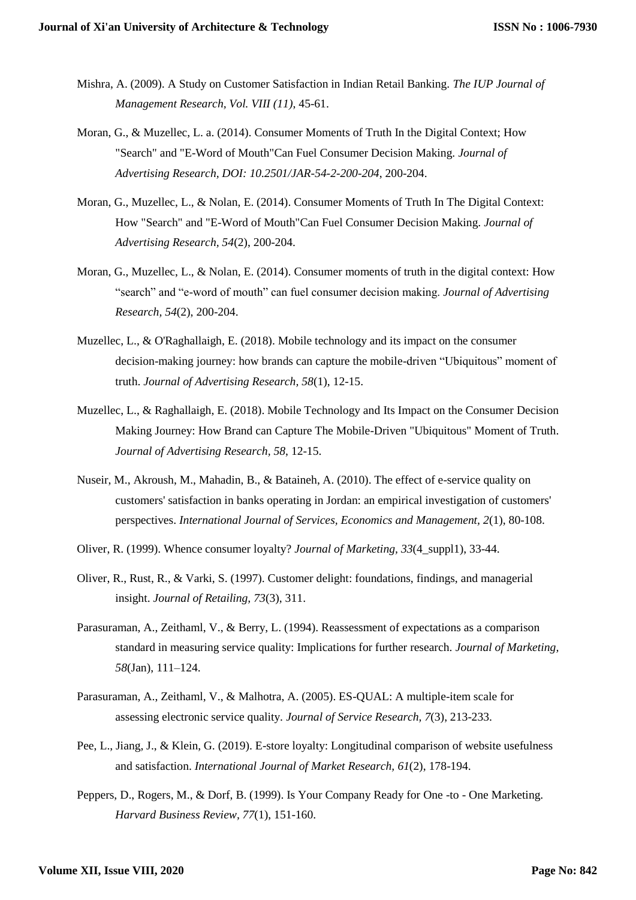- Mishra, A. (2009). A Study on Customer Satisfaction in Indian Retail Banking. *The IUP Journal of Management Research, Vol. VIII (11)*, 45-61.
- Moran, G., & Muzellec, L. a. (2014). Consumer Moments of Truth In the Digital Context; How "Search" and "E-Word of Mouth"Can Fuel Consumer Decision Making. *Journal of Advertising Research, DOI: 10.2501/JAR-54-2-200-204*, 200-204.
- Moran, G., Muzellec, L., & Nolan, E. (2014). Consumer Moments of Truth In The Digital Context: How "Search" and "E-Word of Mouth"Can Fuel Consumer Decision Making. *Journal of Advertising Research, 54*(2), 200-204.
- Moran, G., Muzellec, L., & Nolan, E. (2014). Consumer moments of truth in the digital context: How "search" and "e-word of mouth" can fuel consumer decision making. *Journal of Advertising Research, 54*(2), 200-204.
- Muzellec, L., & O'Raghallaigh, E. (2018). Mobile technology and its impact on the consumer decision-making journey: how brands can capture the mobile-driven "Ubiquitous" moment of truth. *Journal of Advertising Research, 58*(1), 12-15.
- Muzellec, L., & Raghallaigh, E. (2018). Mobile Technology and Its Impact on the Consumer Decision Making Journey: How Brand can Capture The Mobile-Driven "Ubiquitous" Moment of Truth. *Journal of Advertising Research, 58*, 12-15.
- Nuseir, M., Akroush, M., Mahadin, B., & Bataineh, A. (2010). The effect of e-service quality on customers' satisfaction in banks operating in Jordan: an empirical investigation of customers' perspectives. *International Journal of Services, Economics and Management, 2*(1), 80-108.
- Oliver, R. (1999). Whence consumer loyalty? *Journal of Marketing, 33*(4\_suppl1), 33-44.
- Oliver, R., Rust, R., & Varki, S. (1997). Customer delight: foundations, findings, and managerial insight. *Journal of Retailing, 73*(3), 311.
- Parasuraman, A., Zeithaml, V., & Berry, L. (1994). Reassessment of expectations as a comparison standard in measuring service quality: Implications for further research. *Journal of Marketing, 58*(Jan), 111–124.
- Parasuraman, A., Zeithaml, V., & Malhotra, A. (2005). ES-QUAL: A multiple-item scale for assessing electronic service quality. *Journal of Service Research, 7*(3), 213-233.
- Pee, L., Jiang, J., & Klein, G. (2019). E-store loyalty: Longitudinal comparison of website usefulness and satisfaction. *International Journal of Market Research, 61*(2), 178-194.
- Peppers, D., Rogers, M., & Dorf, B. (1999). Is Your Company Ready for One -to One Marketing. *Harvard Business Review, 77*(1), 151-160.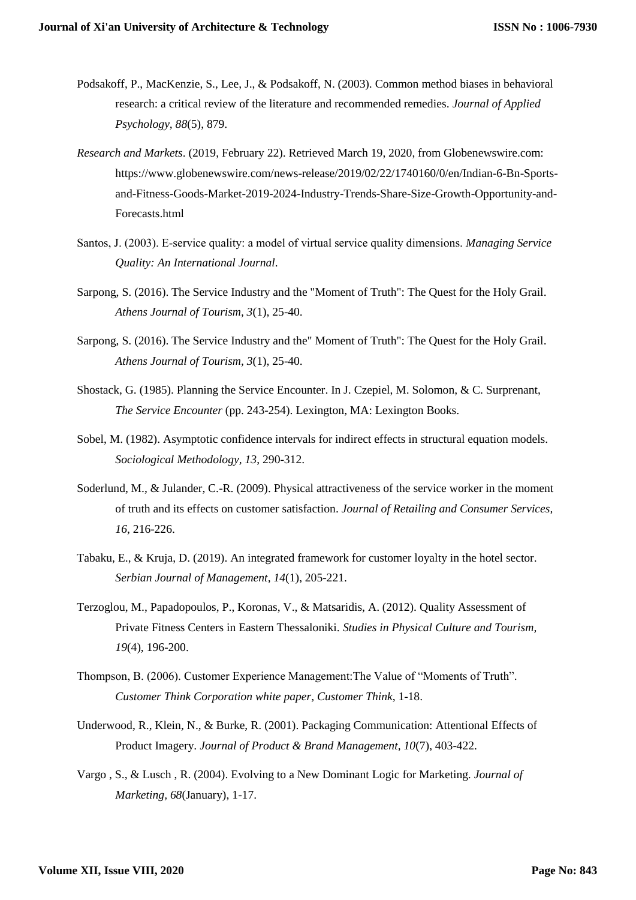- Podsakoff, P., MacKenzie, S., Lee, J., & Podsakoff, N. (2003). Common method biases in behavioral research: a critical review of the literature and recommended remedies. *Journal of Applied Psychology, 88*(5), 879.
- *Research and Markets*. (2019, February 22). Retrieved March 19, 2020, from Globenewswire.com: https://www.globenewswire.com/news-release/2019/02/22/1740160/0/en/Indian-6-Bn-Sportsand-Fitness-Goods-Market-2019-2024-Industry-Trends-Share-Size-Growth-Opportunity-and-Forecasts.html
- Santos, J. (2003). E‐service quality: a model of virtual service quality dimensions. *Managing Service Quality: An International Journal*.
- Sarpong, S. (2016). The Service Industry and the "Moment of Truth": The Quest for the Holy Grail. *Athens Journal of Tourism, 3*(1), 25-40.
- Sarpong, S. (2016). The Service Industry and the" Moment of Truth": The Quest for the Holy Grail. *Athens Journal of Tourism, 3*(1), 25-40.
- Shostack, G. (1985). Planning the Service Encounter. In J. Czepiel, M. Solomon, & C. Surprenant, *The Service Encounter* (pp. 243-254). Lexington, MA: Lexington Books.
- Sobel, M. (1982). Asymptotic confidence intervals for indirect effects in structural equation models. *Sociological Methodology, 13*, 290-312.
- Soderlund, M., & Julander, C.-R. (2009). Physical attractiveness of the service worker in the moment of truth and its effects on customer satisfaction. *Journal of Retailing and Consumer Services, 16*, 216-226.
- Tabaku, E., & Kruja, D. (2019). An integrated framework for customer loyalty in the hotel sector. *Serbian Journal of Management, 14*(1), 205-221.
- Terzoglou, M., Papadopoulos, P., Koronas, V., & Matsaridis, A. (2012). Quality Assessment of Private Fitness Centers in Eastern Thessaloniki. *Studies in Physical Culture and Tourism, 19*(4), 196-200.
- Thompson, B. (2006). Customer Experience Management:The Value of "Moments of Truth". *Customer Think Corporation white paper, Customer Think*, 1-18.
- Underwood, R., Klein, N., & Burke, R. (2001). Packaging Communication: Attentional Effects of Product Imagery. *Journal of Product & Brand Management, 10*(7), 403-422.
- Vargo , S., & Lusch , R. (2004). Evolving to a New Dominant Logic for Marketing. *Journal of Marketing, 68*(January), 1-17.